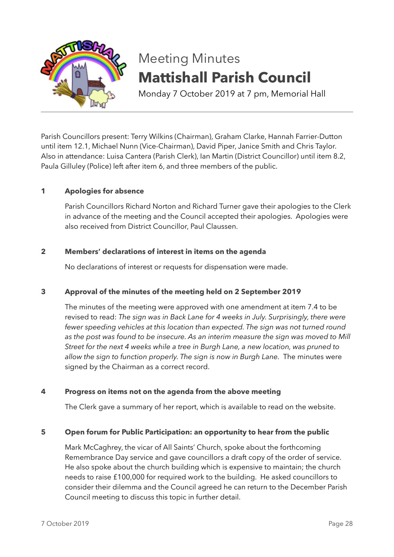

# Meeting Minutes **Mattishall Parish Council**

Monday 7 October 2019 at 7 pm, Memorial Hall

Parish Councillors present: Terry Wilkins (Chairman), Graham Clarke, Hannah Farrier-Dutton until item 12.1, Michael Nunn (Vice-Chairman), David Piper, Janice Smith and Chris Taylor. Also in attendance: Luisa Cantera (Parish Clerk), Ian Martin (District Councillor) until item 8.2, Paula Gilluley (Police) left after item 6, and three members of the public.

# **1 Apologies for absence**

Parish Councillors Richard Norton and Richard Turner gave their apologies to the Clerk in advance of the meeting and the Council accepted their apologies. Apologies were also received from District Councillor, Paul Claussen.

## **2 Members' declarations of interest in items on the agenda**

No declarations of interest or requests for dispensation were made.

## **3 Approval of the minutes of the meeting held on 2 September 2019**

The minutes of the meeting were approved with one amendment at item 7.4 to be revised to read: *The sign was in Back Lane for 4 weeks in July. Surprisingly, there were fewer speeding vehicles at this location than expected. The sign was not turned round as the post was found to be insecure. As an interim measure the sign was moved to Mill Street for the next 4 weeks while a tree in Burgh Lane, a new location, was pruned to allow the sign to function properly. The sign is now in Burgh Lane.* The minutes were signed by the Chairman as a correct record.

## **4 Progress on items not on the agenda from the above meeting**

The Clerk gave a summary of her report, which is available to read on the website.

## **5 Open forum for Public Participation: an opportunity to hear from the public**

Mark McCaghrey, the vicar of All Saints' Church, spoke about the forthcoming Remembrance Day service and gave councillors a draft copy of the order of service. He also spoke about the church building which is expensive to maintain; the church needs to raise £100,000 for required work to the building. He asked councillors to consider their dilemma and the Council agreed he can return to the December Parish Council meeting to discuss this topic in further detail.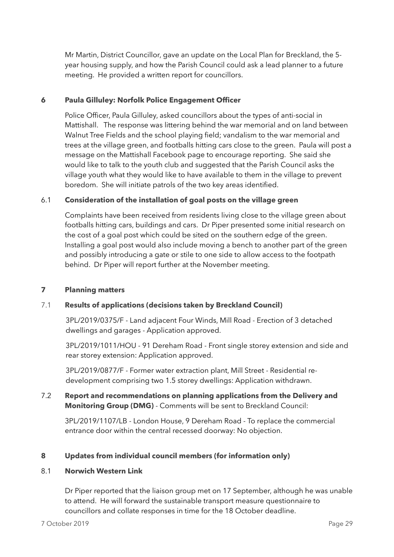Mr Martin, District Councillor, gave an update on the Local Plan for Breckland, the 5 year housing supply, and how the Parish Council could ask a lead planner to a future meeting. He provided a written report for councillors.

# **6 Paula Gilluley: Norfolk Police Engagement Officer**

Police Officer, Paula Gilluley, asked councillors about the types of anti-social in Mattishall. The response was littering behind the war memorial and on land between Walnut Tree Fields and the school playing field; vandalism to the war memorial and trees at the village green, and footballs hitting cars close to the green. Paula will post a message on the Mattishall Facebook page to encourage reporting. She said she would like to talk to the youth club and suggested that the Parish Council asks the village youth what they would like to have available to them in the village to prevent boredom. She will initiate patrols of the two key areas identified.

# 6.1 **Consideration of the installation of goal posts on the village green**

Complaints have been received from residents living close to the village green about footballs hitting cars, buildings and cars. Dr Piper presented some initial research on the cost of a goal post which could be sited on the southern edge of the green. Installing a goal post would also include moving a bench to another part of the green and possibly introducing a gate or stile to one side to allow access to the footpath behind. Dr Piper will report further at the November meeting.

## **7 Planning matters**

## 7.1 **Results of applications (decisions taken by Breckland Council)**

 3PL/2019/0375/F - Land adjacent Four Winds, Mill Road - Erection of 3 detached dwellings and garages - Application approved.

 3PL/2019/1011/HOU - 91 Dereham Road - Front single storey extension and side and rear storey extension: Application approved.

 3PL/2019/0877/F - Former water extraction plant, Mill Street - Residential re development comprising two 1.5 storey dwellings: Application withdrawn.

# 7.2 **Report and recommendations on planning applications from the Delivery and Monitoring Group (DMG)** - Comments will be sent to Breckland Council:

3PL/2019/1107/LB - London House, 9 Dereham Road - To replace the commercial entrance door within the central recessed doorway: No objection.

## **8 Updates from individual council members (for information only)**

## 8.1 **Norwich Western Link**

Dr Piper reported that the liaison group met on 17 September, although he was unable to attend. He will forward the sustainable transport measure questionnaire to councillors and collate responses in time for the 18 October deadline.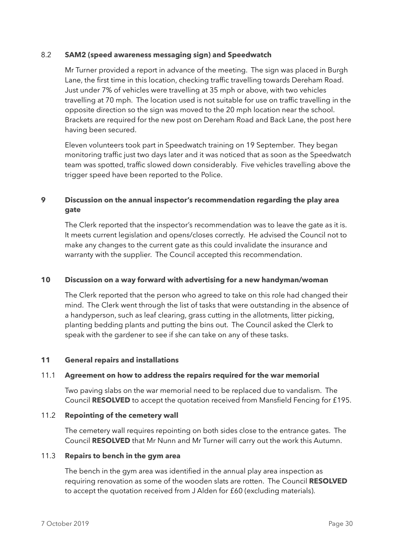### 8.2 **SAM2 (speed awareness messaging sign) and Speedwatch**

Mr Turner provided a report in advance of the meeting. The sign was placed in Burgh Lane, the first time in this location, checking traffic travelling towards Dereham Road. Just under 7% of vehicles were travelling at 35 mph or above, with two vehicles travelling at 70 mph. The location used is not suitable for use on traffic travelling in the opposite direction so the sign was moved to the 20 mph location near the school. Brackets are required for the new post on Dereham Road and Back Lane, the post here having been secured.

Eleven volunteers took part in Speedwatch training on 19 September. They began monitoring traffic just two days later and it was noticed that as soon as the Speedwatch team was spotted, traffic slowed down considerably. Five vehicles travelling above the trigger speed have been reported to the Police.

# **9 Discussion on the annual inspector's recommendation regarding the play area gate**

The Clerk reported that the inspector's recommendation was to leave the gate as it is. It meets current legislation and opens/closes correctly. He advised the Council not to make any changes to the current gate as this could invalidate the insurance and warranty with the supplier. The Council accepted this recommendation.

## **10 Discussion on a way forward with advertising for a new handyman/woman**

The Clerk reported that the person who agreed to take on this role had changed their mind. The Clerk went through the list of tasks that were outstanding in the absence of a handyperson, such as leaf clearing, grass cutting in the allotments, litter picking, planting bedding plants and putting the bins out. The Council asked the Clerk to speak with the gardener to see if she can take on any of these tasks.

## **11 General repairs and installations**

#### 11.1 **Agreement on how to address the repairs required for the war memorial**

Two paving slabs on the war memorial need to be replaced due to vandalism. The Council **RESOLVED** to accept the quotation received from Mansfield Fencing for £195.

#### 11.2 **Repointing of the cemetery wall**

The cemetery wall requires repointing on both sides close to the entrance gates. The Council **RESOLVED** that Mr Nunn and Mr Turner will carry out the work this Autumn.

#### 11.3 **Repairs to bench in the gym area**

The bench in the gym area was identified in the annual play area inspection as requiring renovation as some of the wooden slats are rotten. The Council **RESOLVED** to accept the quotation received from J Alden for £60 (excluding materials).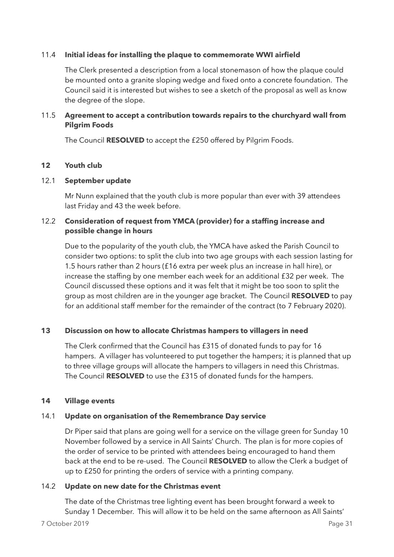## 11.4 **Initial ideas for installing the plaque to commemorate WWI airfield**

The Clerk presented a description from a local stonemason of how the plaque could be mounted onto a granite sloping wedge and fixed onto a concrete foundation. The Council said it is interested but wishes to see a sketch of the proposal as well as know the degree of the slope.

# 11.5 **Agreement to accept a contribution towards repairs to the churchyard wall from Pilgrim Foods**

The Council **RESOLVED** to accept the £250 offered by Pilgrim Foods.

## **12 Youth club**

### 12.1 **September update**

Mr Nunn explained that the youth club is more popular than ever with 39 attendees last Friday and 43 the week before.

## 12.2 **Consideration of request from YMCA (provider) for a staffing increase and possible change in hours**

Due to the popularity of the youth club, the YMCA have asked the Parish Council to consider two options: to split the club into two age groups with each session lasting for 1.5 hours rather than 2 hours (£16 extra per week plus an increase in hall hire), or increase the staffing by one member each week for an additional £32 per week. The Council discussed these options and it was felt that it might be too soon to split the group as most children are in the younger age bracket. The Council **RESOLVED** to pay for an additional staff member for the remainder of the contract (to 7 February 2020).

## **13 Discussion on how to allocate Christmas hampers to villagers in need**

The Clerk confirmed that the Council has £315 of donated funds to pay for 16 hampers. A villager has volunteered to put together the hampers; it is planned that up to three village groups will allocate the hampers to villagers in need this Christmas. The Council **RESOLVED** to use the £315 of donated funds for the hampers.

## **14 Village events**

## 14.1 **Update on organisation of the Remembrance Day service**

Dr Piper said that plans are going well for a service on the village green for Sunday 10 November followed by a service in All Saints' Church. The plan is for more copies of the order of service to be printed with attendees being encouraged to hand them back at the end to be re-used. The Council **RESOLVED** to allow the Clerk a budget of up to £250 for printing the orders of service with a printing company.

## 14.2 **Update on new date for the Christmas event**

The date of the Christmas tree lighting event has been brought forward a week to Sunday 1 December. This will allow it to be held on the same afternoon as All Saints'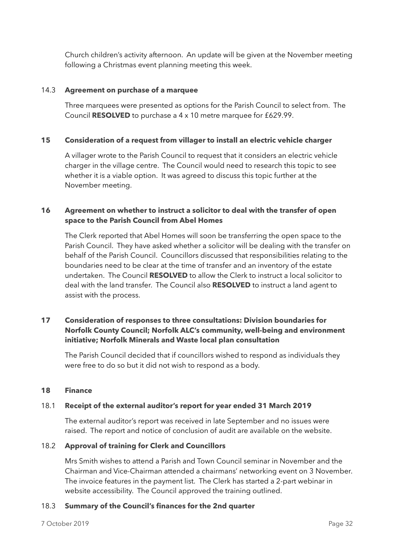Church children's activity afternoon. An update will be given at the November meeting following a Christmas event planning meeting this week.

## 14.3 **Agreement on purchase of a marquee**

Three marquees were presented as options for the Parish Council to select from. The Council **RESOLVED** to purchase a 4 x 10 metre marquee for £629.99.

### **15 Consideration of a request from villager to install an electric vehicle charger**

A villager wrote to the Parish Council to request that it considers an electric vehicle charger in the village centre. The Council would need to research this topic to see whether it is a viable option. It was agreed to discuss this topic further at the November meeting.

## **16 Agreement on whether to instruct a solicitor to deal with the transfer of open space to the Parish Council from Abel Homes**

The Clerk reported that Abel Homes will soon be transferring the open space to the Parish Council. They have asked whether a solicitor will be dealing with the transfer on behalf of the Parish Council. Councillors discussed that responsibilities relating to the boundaries need to be clear at the time of transfer and an inventory of the estate undertaken. The Council **RESOLVED** to allow the Clerk to instruct a local solicitor to deal with the land transfer. The Council also **RESOLVED** to instruct a land agent to assist with the process.

# **17 Consideration of responses to three consultations: Division boundaries for Norfolk County Council; Norfolk ALC's community, well-being and environment initiative; Norfolk Minerals and Waste local plan consultation**

The Parish Council decided that if councillors wished to respond as individuals they were free to do so but it did not wish to respond as a body.

#### **18 Finance**

## 18.1 **Receipt of the external auditor's report for year ended 31 March 2019**

The external auditor's report was received in late September and no issues were raised. The report and notice of conclusion of audit are available on the website.

## 18.2 **Approval of training for Clerk and Councillors**

Mrs Smith wishes to attend a Parish and Town Council seminar in November and the Chairman and Vice-Chairman attended a chairmans' networking event on 3 November. The invoice features in the payment list. The Clerk has started a 2-part webinar in website accessibility. The Council approved the training outlined.

## 18.3 **Summary of the Council's finances for the 2nd quarter**